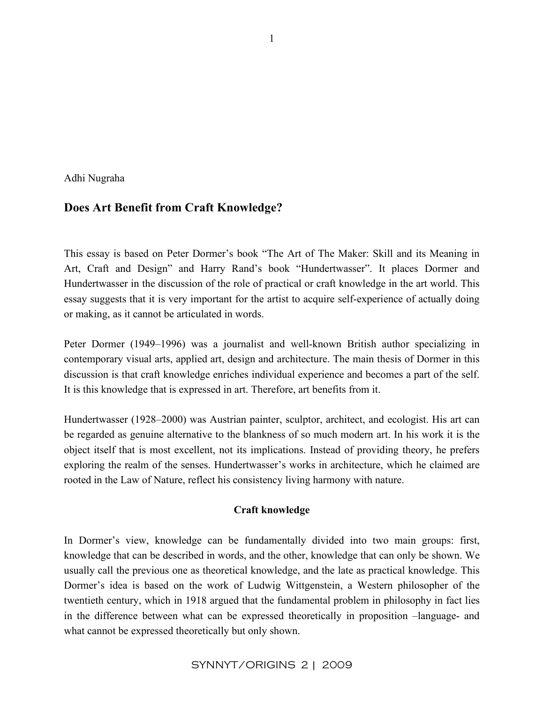Adhi Nugraha

# **Does Art Benefit from Craft Knowledge?**

This essay is based on Peter Dormer's book "The Art of The Maker: Skill and its Meaning in Art, Craft and Design" and Harry Rand's book "Hundertwasser". It places Dormer and Hundertwasser in the discussion of the role of practical or craft knowledge in the art world. This essay suggests that it is very important for the artist to acquire self-experience of actually doing or making, as it cannot be articulated in words.

Peter Dormer (1949–1996) was a journalist and well-known British author specializing in contemporary visual arts, applied art, design and architecture. The main thesis of Dormer in this discussion is that craft knowledge enriches individual experience and becomes a part of the self. It is this knowledge that is expressed in art. Therefore, art benefits from it.

Hundertwasser (1928–2000) was Austrian painter, sculptor, architect, and ecologist. His art can be regarded as genuine alternative to the blankness of so much modern art. In his work it is the object itself that is most excellent, not its implications. Instead of providing theory, he prefers exploring the realm of the senses. Hundertwasser's works in architecture, which he claimed are rooted in the Law of Nature, reflect his consistency living harmony with nature.

### **Craft knowledge**

In Dormer's view, knowledge can be fundamentally divided into two main groups: first, knowledge that can be described in words, and the other, knowledge that can only be shown. We usually call the previous one as theoretical knowledge, and the late as practical knowledge. This Dormer's idea is based on the work of Ludwig Wittgenstein, a Western philosopher of the twentieth century, which in 1918 argued that the fundamental problem in philosophy in fact lies in the difference between what can be expressed theoretically in proposition –language- and what cannot be expressed theoretically but only shown.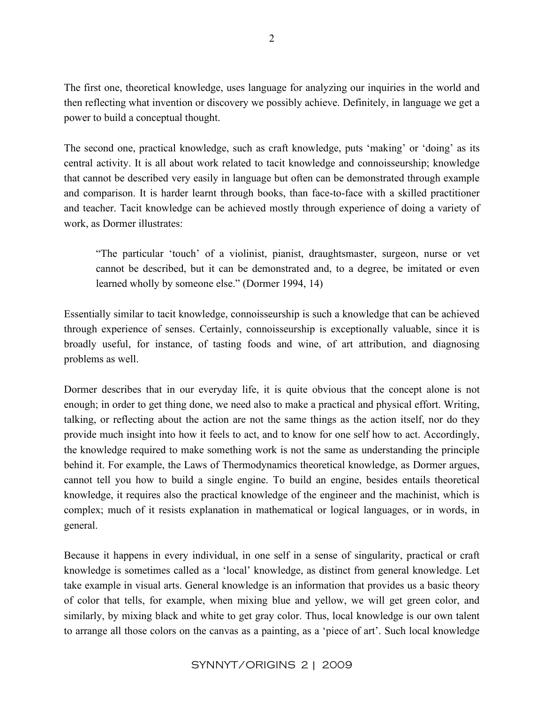The first one, theoretical knowledge, uses language for analyzing our inquiries in the world and then reflecting what invention or discovery we possibly achieve. Definitely, in language we get a power to build a conceptual thought.

The second one, practical knowledge, such as craft knowledge, puts 'making' or 'doing' as its central activity. It is all about work related to tacit knowledge and connoisseurship; knowledge that cannot be described very easily in language but often can be demonstrated through example and comparison. It is harder learnt through books, than face-to-face with a skilled practitioner and teacher. Tacit knowledge can be achieved mostly through experience of doing a variety of work, as Dormer illustrates:

"The particular 'touch' of a violinist, pianist, draughtsmaster, surgeon, nurse or vet cannot be described, but it can be demonstrated and, to a degree, be imitated or even learned wholly by someone else." (Dormer 1994, 14)

Essentially similar to tacit knowledge, connoisseurship is such a knowledge that can be achieved through experience of senses. Certainly, connoisseurship is exceptionally valuable, since it is broadly useful, for instance, of tasting foods and wine, of art attribution, and diagnosing problems as well.

Dormer describes that in our everyday life, it is quite obvious that the concept alone is not enough; in order to get thing done, we need also to make a practical and physical effort. Writing, talking, or reflecting about the action are not the same things as the action itself, nor do they provide much insight into how it feels to act, and to know for one self how to act. Accordingly, the knowledge required to make something work is not the same as understanding the principle behind it. For example, the Laws of Thermodynamics theoretical knowledge, as Dormer argues, cannot tell you how to build a single engine. To build an engine, besides entails theoretical knowledge, it requires also the practical knowledge of the engineer and the machinist, which is complex; much of it resists explanation in mathematical or logical languages, or in words, in general.

Because it happens in every individual, in one self in a sense of singularity, practical or craft knowledge is sometimes called as a 'local' knowledge, as distinct from general knowledge. Let take example in visual arts. General knowledge is an information that provides us a basic theory of color that tells, for example, when mixing blue and yellow, we will get green color, and similarly, by mixing black and white to get gray color. Thus, local knowledge is our own talent to arrange all those colors on the canvas as a painting, as a 'piece of art'. Such local knowledge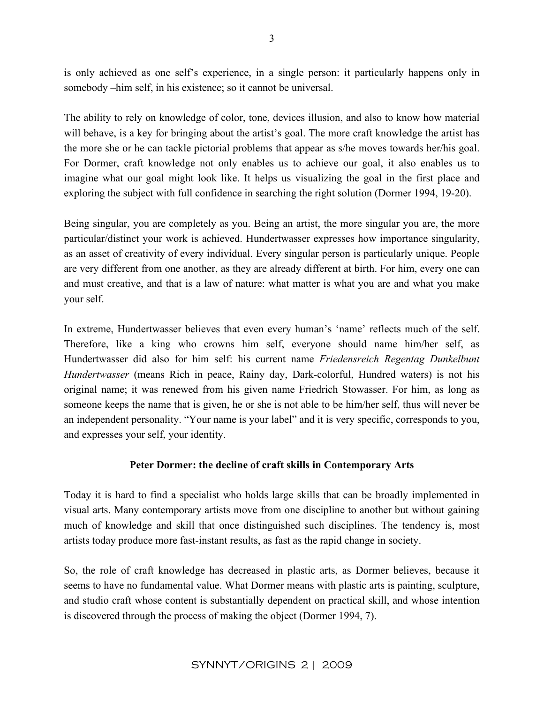is only achieved as one self's experience, in a single person: it particularly happens only in somebody –him self, in his existence; so it cannot be universal.

The ability to rely on knowledge of color, tone, devices illusion, and also to know how material will behave, is a key for bringing about the artist's goal. The more craft knowledge the artist has the more she or he can tackle pictorial problems that appear as s/he moves towards her/his goal. For Dormer, craft knowledge not only enables us to achieve our goal, it also enables us to imagine what our goal might look like. It helps us visualizing the goal in the first place and exploring the subject with full confidence in searching the right solution (Dormer 1994, 19-20).

Being singular, you are completely as you. Being an artist, the more singular you are, the more particular/distinct your work is achieved. Hundertwasser expresses how importance singularity, as an asset of creativity of every individual. Every singular person is particularly unique. People are very different from one another, as they are already different at birth. For him, every one can and must creative, and that is a law of nature: what matter is what you are and what you make your self.

In extreme, Hundertwasser believes that even every human's 'name' reflects much of the self. Therefore, like a king who crowns him self, everyone should name him/her self, as Hundertwasser did also for him self: his current name *Friedensreich Regentag Dunkelbunt Hundertwasser* (means Rich in peace, Rainy day, Dark-colorful, Hundred waters) is not his original name; it was renewed from his given name Friedrich Stowasser. For him, as long as someone keeps the name that is given, he or she is not able to be him/her self, thus will never be an independent personality. "Your name is your label" and it is very specific, corresponds to you, and expresses your self, your identity.

### **Peter Dormer: the decline of craft skills in Contemporary Arts**

Today it is hard to find a specialist who holds large skills that can be broadly implemented in visual arts. Many contemporary artists move from one discipline to another but without gaining much of knowledge and skill that once distinguished such disciplines. The tendency is, most artists today produce more fast-instant results, as fast as the rapid change in society.

So, the role of craft knowledge has decreased in plastic arts, as Dormer believes, because it seems to have no fundamental value. What Dormer means with plastic arts is painting, sculpture, and studio craft whose content is substantially dependent on practical skill, and whose intention is discovered through the process of making the object (Dormer 1994, 7).

# SYNNYT/ORIGINS 2 | 2009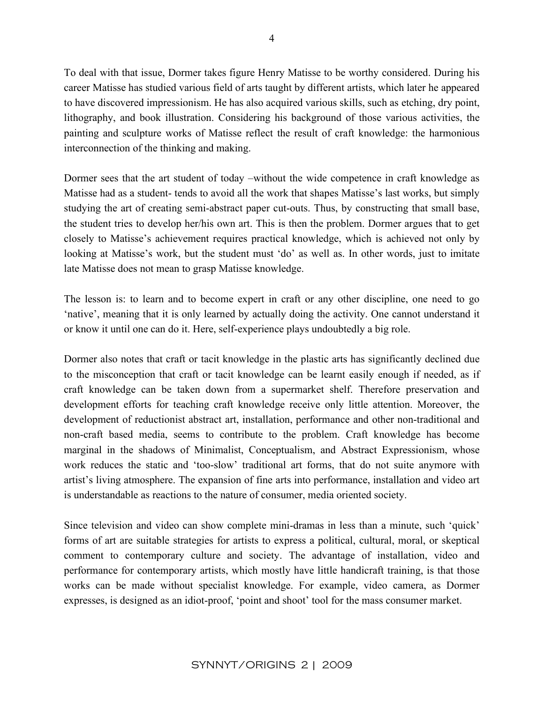To deal with that issue, Dormer takes figure Henry Matisse to be worthy considered. During his career Matisse has studied various field of arts taught by different artists, which later he appeared to have discovered impressionism. He has also acquired various skills, such as etching, dry point, lithography, and book illustration. Considering his background of those various activities, the painting and sculpture works of Matisse reflect the result of craft knowledge: the harmonious interconnection of the thinking and making.

Dormer sees that the art student of today –without the wide competence in craft knowledge as Matisse had as a student- tends to avoid all the work that shapes Matisse's last works, but simply studying the art of creating semi-abstract paper cut-outs. Thus, by constructing that small base, the student tries to develop her/his own art. This is then the problem. Dormer argues that to get closely to Matisse's achievement requires practical knowledge, which is achieved not only by looking at Matisse's work, but the student must 'do' as well as. In other words, just to imitate late Matisse does not mean to grasp Matisse knowledge.

The lesson is: to learn and to become expert in craft or any other discipline, one need to go 'native', meaning that it is only learned by actually doing the activity. One cannot understand it or know it until one can do it. Here, self-experience plays undoubtedly a big role.

Dormer also notes that craft or tacit knowledge in the plastic arts has significantly declined due to the misconception that craft or tacit knowledge can be learnt easily enough if needed, as if craft knowledge can be taken down from a supermarket shelf. Therefore preservation and development efforts for teaching craft knowledge receive only little attention. Moreover, the development of reductionist abstract art, installation, performance and other non-traditional and non-craft based media, seems to contribute to the problem. Craft knowledge has become marginal in the shadows of Minimalist, Conceptualism, and Abstract Expressionism, whose work reduces the static and 'too-slow' traditional art forms, that do not suite anymore with artist's living atmosphere. The expansion of fine arts into performance, installation and video art is understandable as reactions to the nature of consumer, media oriented society.

Since television and video can show complete mini-dramas in less than a minute, such 'quick' forms of art are suitable strategies for artists to express a political, cultural, moral, or skeptical comment to contemporary culture and society. The advantage of installation, video and performance for contemporary artists, which mostly have little handicraft training, is that those works can be made without specialist knowledge. For example, video camera, as Dormer expresses, is designed as an idiot-proof, 'point and shoot' tool for the mass consumer market.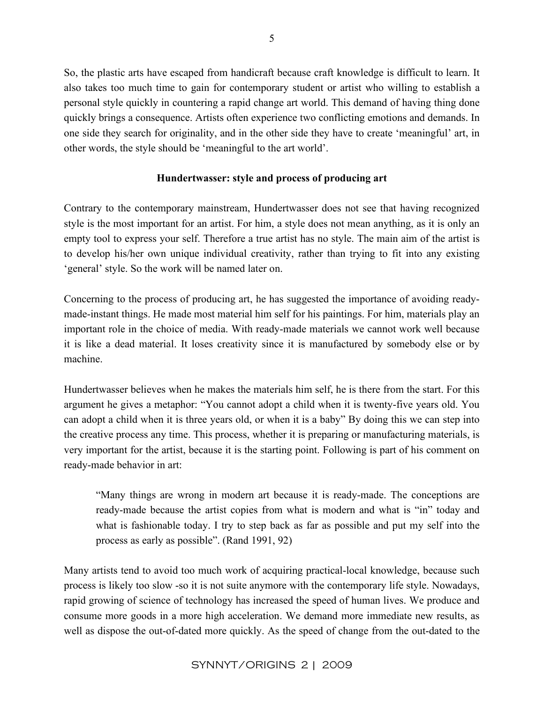So, the plastic arts have escaped from handicraft because craft knowledge is difficult to learn. It also takes too much time to gain for contemporary student or artist who willing to establish a personal style quickly in countering a rapid change art world. This demand of having thing done quickly brings a consequence. Artists often experience two conflicting emotions and demands. In one side they search for originality, and in the other side they have to create 'meaningful' art, in other words, the style should be 'meaningful to the art world'.

## **Hundertwasser: style and process of producing art**

Contrary to the contemporary mainstream, Hundertwasser does not see that having recognized style is the most important for an artist. For him, a style does not mean anything, as it is only an empty tool to express your self. Therefore a true artist has no style. The main aim of the artist is to develop his/her own unique individual creativity, rather than trying to fit into any existing 'general' style. So the work will be named later on.

Concerning to the process of producing art, he has suggested the importance of avoiding readymade-instant things. He made most material him self for his paintings. For him, materials play an important role in the choice of media. With ready-made materials we cannot work well because it is like a dead material. It loses creativity since it is manufactured by somebody else or by machine.

Hundertwasser believes when he makes the materials him self, he is there from the start. For this argument he gives a metaphor: "You cannot adopt a child when it is twenty-five years old. You can adopt a child when it is three years old, or when it is a baby" By doing this we can step into the creative process any time. This process, whether it is preparing or manufacturing materials, is very important for the artist, because it is the starting point. Following is part of his comment on ready-made behavior in art:

"Many things are wrong in modern art because it is ready-made. The conceptions are ready-made because the artist copies from what is modern and what is "in" today and what is fashionable today. I try to step back as far as possible and put my self into the process as early as possible". (Rand 1991, 92)

Many artists tend to avoid too much work of acquiring practical-local knowledge, because such process is likely too slow -so it is not suite anymore with the contemporary life style. Nowadays, rapid growing of science of technology has increased the speed of human lives. We produce and consume more goods in a more high acceleration. We demand more immediate new results, as well as dispose the out-of-dated more quickly. As the speed of change from the out-dated to the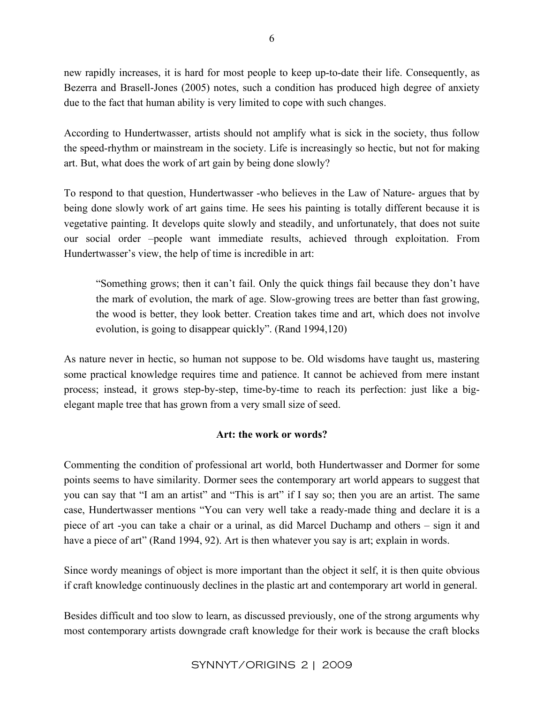new rapidly increases, it is hard for most people to keep up-to-date their life. Consequently, as Bezerra and Brasell-Jones (2005) notes, such a condition has produced high degree of anxiety due to the fact that human ability is very limited to cope with such changes.

According to Hundertwasser, artists should not amplify what is sick in the society, thus follow the speed-rhythm or mainstream in the society. Life is increasingly so hectic, but not for making art. But, what does the work of art gain by being done slowly?

To respond to that question, Hundertwasser -who believes in the Law of Nature- argues that by being done slowly work of art gains time. He sees his painting is totally different because it is vegetative painting. It develops quite slowly and steadily, and unfortunately, that does not suite our social order –people want immediate results, achieved through exploitation. From Hundertwasser's view, the help of time is incredible in art:

"Something grows; then it can't fail. Only the quick things fail because they don't have the mark of evolution, the mark of age. Slow-growing trees are better than fast growing, the wood is better, they look better. Creation takes time and art, which does not involve evolution, is going to disappear quickly". (Rand 1994,120)

As nature never in hectic, so human not suppose to be. Old wisdoms have taught us, mastering some practical knowledge requires time and patience. It cannot be achieved from mere instant process; instead, it grows step-by-step, time-by-time to reach its perfection: just like a bigelegant maple tree that has grown from a very small size of seed.

## **Art: the work or words?**

Commenting the condition of professional art world, both Hundertwasser and Dormer for some points seems to have similarity. Dormer sees the contemporary art world appears to suggest that you can say that "I am an artist" and "This is art" if I say so; then you are an artist. The same case, Hundertwasser mentions "You can very well take a ready-made thing and declare it is a piece of art -you can take a chair or a urinal, as did Marcel Duchamp and others – sign it and have a piece of art" (Rand 1994, 92). Art is then whatever you say is art; explain in words.

Since wordy meanings of object is more important than the object it self, it is then quite obvious if craft knowledge continuously declines in the plastic art and contemporary art world in general.

Besides difficult and too slow to learn, as discussed previously, one of the strong arguments why most contemporary artists downgrade craft knowledge for their work is because the craft blocks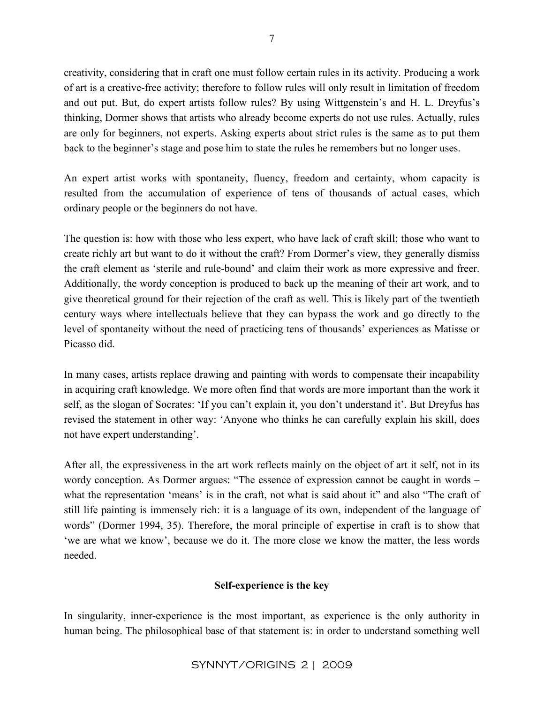creativity, considering that in craft one must follow certain rules in its activity. Producing a work of art is a creative-free activity; therefore to follow rules will only result in limitation of freedom and out put. But, do expert artists follow rules? By using Wittgenstein's and H. L. Dreyfus's thinking, Dormer shows that artists who already become experts do not use rules. Actually, rules are only for beginners, not experts. Asking experts about strict rules is the same as to put them back to the beginner's stage and pose him to state the rules he remembers but no longer uses.

An expert artist works with spontaneity, fluency, freedom and certainty, whom capacity is resulted from the accumulation of experience of tens of thousands of actual cases, which ordinary people or the beginners do not have.

The question is: how with those who less expert, who have lack of craft skill; those who want to create richly art but want to do it without the craft? From Dormer's view, they generally dismiss the craft element as 'sterile and rule-bound' and claim their work as more expressive and freer. Additionally, the wordy conception is produced to back up the meaning of their art work, and to give theoretical ground for their rejection of the craft as well. This is likely part of the twentieth century ways where intellectuals believe that they can bypass the work and go directly to the level of spontaneity without the need of practicing tens of thousands' experiences as Matisse or Picasso did.

In many cases, artists replace drawing and painting with words to compensate their incapability in acquiring craft knowledge. We more often find that words are more important than the work it self, as the slogan of Socrates: 'If you can't explain it, you don't understand it'. But Dreyfus has revised the statement in other way: 'Anyone who thinks he can carefully explain his skill, does not have expert understanding'.

After all, the expressiveness in the art work reflects mainly on the object of art it self, not in its wordy conception. As Dormer argues: "The essence of expression cannot be caught in words – what the representation 'means' is in the craft, not what is said about it" and also "The craft of still life painting is immensely rich: it is a language of its own, independent of the language of words" (Dormer 1994, 35). Therefore, the moral principle of expertise in craft is to show that 'we are what we know', because we do it. The more close we know the matter, the less words needed.

## **Self-experience is the key**

In singularity, inner-experience is the most important, as experience is the only authority in human being. The philosophical base of that statement is: in order to understand something well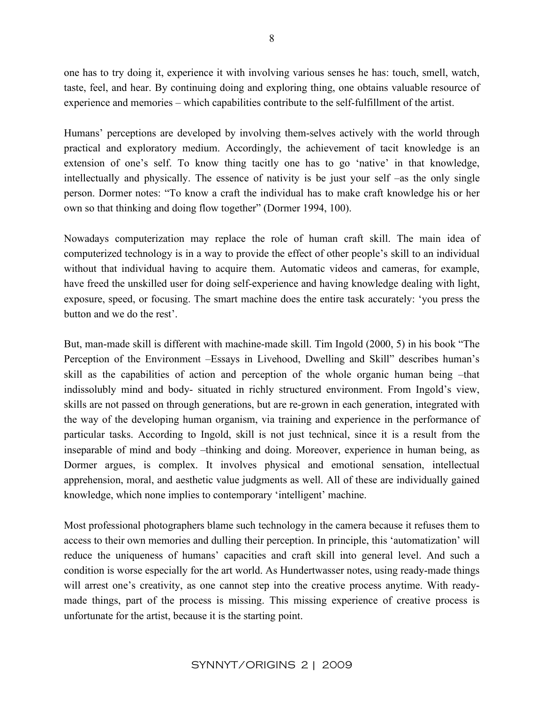one has to try doing it, experience it with involving various senses he has: touch, smell, watch, taste, feel, and hear. By continuing doing and exploring thing, one obtains valuable resource of experience and memories – which capabilities contribute to the self-fulfillment of the artist.

Humans' perceptions are developed by involving them-selves actively with the world through practical and exploratory medium. Accordingly, the achievement of tacit knowledge is an extension of one's self. To know thing tacitly one has to go 'native' in that knowledge, intellectually and physically. The essence of nativity is be just your self –as the only single person. Dormer notes: "To know a craft the individual has to make craft knowledge his or her own so that thinking and doing flow together" (Dormer 1994, 100).

Nowadays computerization may replace the role of human craft skill. The main idea of computerized technology is in a way to provide the effect of other people's skill to an individual without that individual having to acquire them. Automatic videos and cameras, for example, have freed the unskilled user for doing self-experience and having knowledge dealing with light, exposure, speed, or focusing. The smart machine does the entire task accurately: 'you press the button and we do the rest'.

But, man-made skill is different with machine-made skill. Tim Ingold (2000, 5) in his book "The Perception of the Environment –Essays in Livehood, Dwelling and Skill" describes human's skill as the capabilities of action and perception of the whole organic human being –that indissolubly mind and body- situated in richly structured environment. From Ingold's view, skills are not passed on through generations, but are re-grown in each generation, integrated with the way of the developing human organism, via training and experience in the performance of particular tasks. According to Ingold, skill is not just technical, since it is a result from the inseparable of mind and body –thinking and doing. Moreover, experience in human being, as Dormer argues, is complex. It involves physical and emotional sensation, intellectual apprehension, moral, and aesthetic value judgments as well. All of these are individually gained knowledge, which none implies to contemporary 'intelligent' machine.

Most professional photographers blame such technology in the camera because it refuses them to access to their own memories and dulling their perception. In principle, this 'automatization' will reduce the uniqueness of humans' capacities and craft skill into general level. And such a condition is worse especially for the art world. As Hundertwasser notes, using ready-made things will arrest one's creativity, as one cannot step into the creative process anytime. With readymade things, part of the process is missing. This missing experience of creative process is unfortunate for the artist, because it is the starting point.